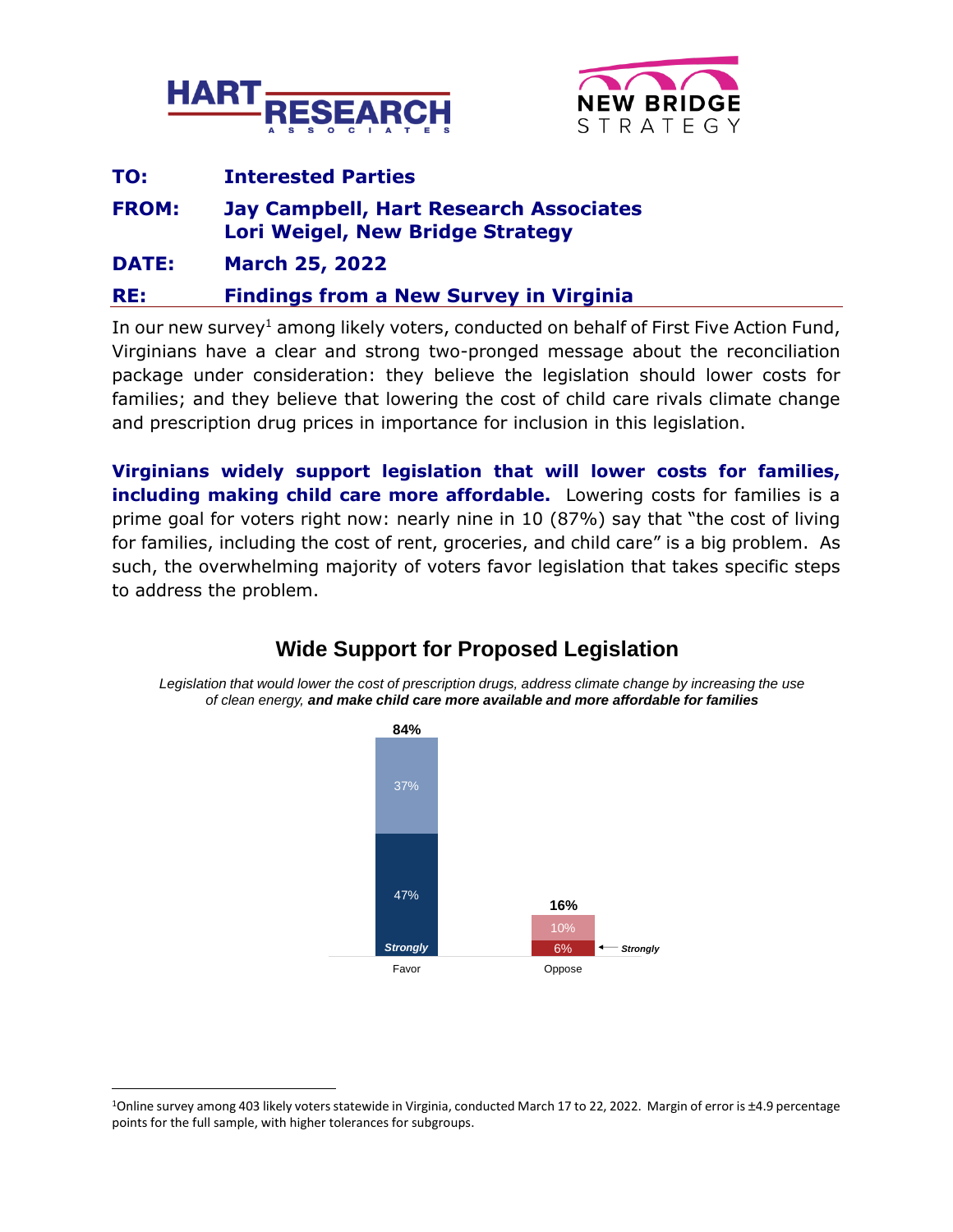



| RE:          | <b>Findings from a New Survey in Virginia</b>                                            |  |  |
|--------------|------------------------------------------------------------------------------------------|--|--|
| <b>DATE:</b> | <b>March 25, 2022</b>                                                                    |  |  |
| <b>FROM:</b> | <b>Jay Campbell, Hart Research Associates</b><br><b>Lori Weigel, New Bridge Strategy</b> |  |  |
| TO:          | <b>Interested Parties</b>                                                                |  |  |

In our new survey<sup>1</sup> among likely voters, conducted on behalf of First Five Action Fund, Virginians have a clear and strong two-pronged message about the reconciliation package under consideration: they believe the legislation should lower costs for families; and they believe that lowering the cost of child care rivals climate change and prescription drug prices in importance for inclusion in this legislation.

**Virginians widely support legislation that will lower costs for families, including making child care more affordable.** Lowering costs for families is a prime goal for voters right now: nearly nine in 10 (87%) say that "the cost of living for families, including the cost of rent, groceries, and child care" is a big problem. As such, the overwhelming majority of voters favor legislation that takes specific steps to address the problem.

# **Wide Support for Proposed Legislation**

*Legislation that would lower the cost of prescription drugs, address climate change by increasing the use of clean energy, and make child care more available and more affordable for families*



<sup>1</sup>Online survey among 403 likely voters statewide in Virginia, conducted March 17 to 22, 2022. Margin of error is ±4.9 percentage points for the full sample, with higher tolerances for subgroups.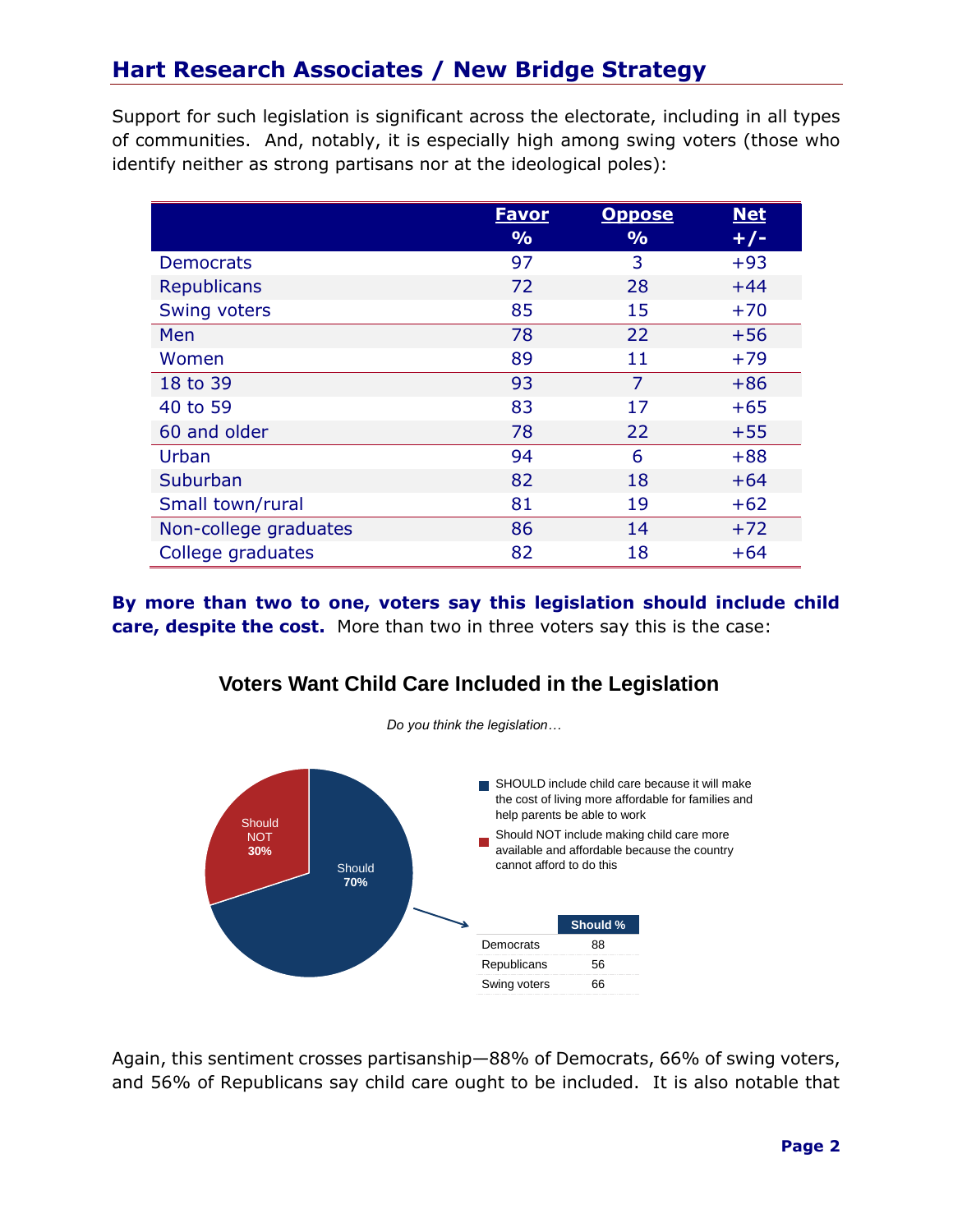## **Hart Research Associates / New Bridge Strategy**

Support for such legislation is significant across the electorate, including in all types of communities. And, notably, it is especially high among swing voters (those who identify neither as strong partisans nor at the ideological poles):

|                       | <u>Favor</u>  | <b>Oppose</b> | <b>Net</b> |
|-----------------------|---------------|---------------|------------|
|                       | $\frac{9}{6}$ | $\frac{9}{0}$ | $+/-$      |
| <b>Democrats</b>      | 97            | 3             | $+93$      |
| <b>Republicans</b>    | 72            | 28            | $+44$      |
| Swing voters          | 85            | 15            | $+70$      |
| Men                   | 78            | 22            | $+56$      |
| Women                 | 89            | 11            | $+79$      |
| 18 to 39              | 93            | 7             | $+86$      |
| 40 to 59              | 83            | 17            | $+65$      |
| 60 and older          | 78            | 22            | $+55$      |
| Urban                 | 94            | 6             | $+88$      |
| Suburban              | 82            | 18            | $+64$      |
| Small town/rural      | 81            | 19            | $+62$      |
| Non-college graduates | 86            | 14            | $+72$      |
| College graduates     | 82            | 18            | $+64$      |

**By more than two to one, voters say this legislation should include child care, despite the cost.** More than two in three voters say this is the case:

### **Voters Want Child Care Included in the Legislation**



Again, this sentiment crosses partisanship—88% of Democrats, 66% of swing voters, and 56% of Republicans say child care ought to be included. It is also notable that